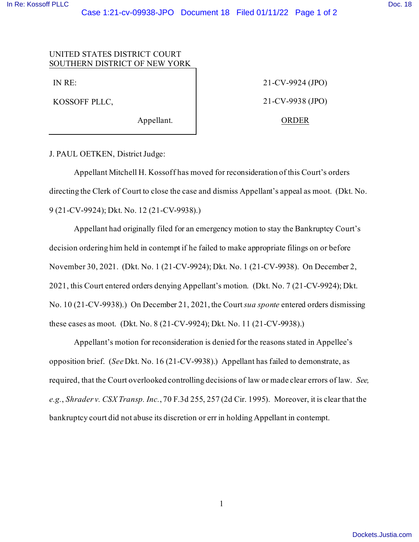## UNITED STATES DISTRICT COURT SOUTHERN DISTRICT OF NEW YORK

IN RE:

KOSSOFF PLLC,

Appellant.

21-CV-9924 (JPO) 21-CV-9938 (JPO) ORDER

J. PAUL OETKEN, District Judge:

Appellant Mitchell H. Kossoff has moved for reconsideration of this Court's orders directing the Clerk of Court to close the case and dismiss Appellant's appeal as moot. (Dkt. No. 9 (21-CV-9924); Dkt. No. 12 (21-CV-9938).)

Appellant had originally filed for an emergency motion to stay the Bankruptcy Court's decision ordering him held in contempt if he failed to make appropriate filings on or before November 30, 2021. (Dkt. No. 1 (21-CV-9924); Dkt. No. 1 (21-CV-9938). On December 2, 2021, this Court entered orders denying Appellant's motion. (Dkt. No. 7 (21-CV-9924); Dkt. No. 10 (21-CV-9938).) On December 21, 2021, the Court *sua sponte* entered orders dismissing these cases as moot. (Dkt. No. 8 (21-CV-9924); Dkt. No. 11 (21-CV-9938).)

Appellant's motion for reconsideration is denied for the reasons stated in Appellee's opposition brief. (*See* Dkt. No. 16 (21-CV-9938).) Appellant has failed to demonstrate, as required, that the Court overlooked controlling decisions of law or made clear errors of law. *See, e.g.*, *Shrader v. CSX Transp. Inc.*, 70 F.3d 255, 257 (2d Cir. 1995). Moreover, it is clear that the bankruptcy court did not abuse its discretion or err in holding Appellant in contempt.

1